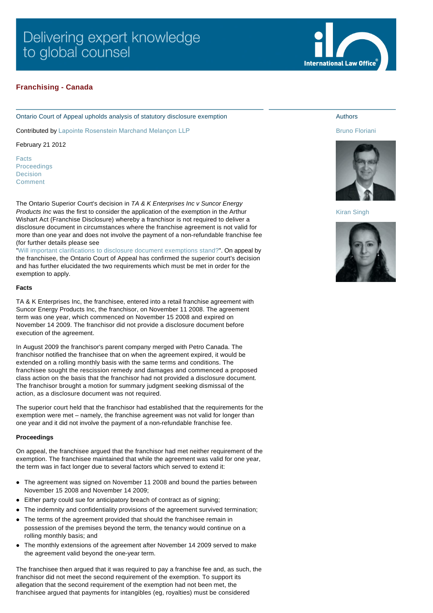# <span id="page-0-0"></span>**Franchising - Canada**

Ontario Court of Appeal upholds analysis of statutory disclosure exemption

Contributed by [Lapointe Rosenstein Marchand Melançon LLP](http://www.internationallawoffice.com/gesr.ashx?l=7G8ZZLW)

February 21 2012

[Facts](#page-0-0) [Proceedings](#page-0-0) [Decision](#page-0-0) [Comment](#page-0-0)

The Ontario Superior Court's decision in *TA & K Enterprises Inc v Suncor Energy Products Inc* was the first to consider the application of the exemption in the Arthur Wishart Act (Franchise Disclosure) whereby a franchisor is not required to deliver a disclosure document in circumstances where the franchise agreement is not valid for more than one year and does not involve the payment of a non-refundable franchise fee (for further details please see

["Will important clarifications to disclosure document exemptions stand?"](http://www.internationallawoffice.com/gesr.ashx?l=7G8ZZM2). On appeal by the franchisee, the Ontario Court of Appeal has confirmed the superior court's decision and has further elucidated the two requirements which must be met in order for the exemption to apply.

### **Facts**

TA & K Enterprises Inc, the franchisee, entered into a retail franchise agreement with Suncor Energy Products Inc, the franchisor, on November 11 2008. The agreement term was one year, which commenced on November 15 2008 and expired on November 14 2009. The franchisor did not provide a disclosure document before execution of the agreement.

In August 2009 the franchisor's parent company merged with Petro Canada. The franchisor notified the franchisee that on when the agreement expired, it would be extended on a rolling monthly basis with the same terms and conditions. The franchisee sought the rescission remedy and damages and commenced a proposed class action on the basis that the franchisor had not provided a disclosure document. The franchisor brought a motion for summary judgment seeking dismissal of the action, as a disclosure document was not required.

The superior court held that the franchisor had established that the requirements for the exemption were met – namely, the franchise agreement was not valid for longer than one year and it did not involve the payment of a non-refundable franchise fee.

### **Proceedings**

On appeal, the franchisee argued that the franchisor had met neither requirement of the exemption. The franchisee maintained that while the agreement was valid for one year, the term was in fact longer due to several factors which served to extend it:

- The agreement was signed on November 11 2008 and bound the parties between November 15 2008 and November 14 2009;
- Either party could sue for anticipatory breach of contract as of signing;
- The indemnity and confidentiality provisions of the agreement survived termination;
- The terms of the agreement provided that should the franchisee remain in possession of the premises beyond the term, the tenancy would continue on a rolling monthly basis; and
- The monthly extensions of the agreement after November 14 2009 served to make the agreement valid beyond the one-year term.

The franchisee then argued that it was required to pay a franchise fee and, as such, the franchisor did not meet the second requirement of the exemption. To support its allegation that the second requirement of the exemption had not been met, the franchisee argued that payments for intangibles (eg, royalties) must be considered



# Authors

#### [Bruno Floriani](http://www.internationallawoffice.com/gesr.ashx?l=7G8ZZM8)



[Kiran Singh](http://www.internationallawoffice.com/gesr.ashx?l=7G8ZZMH)